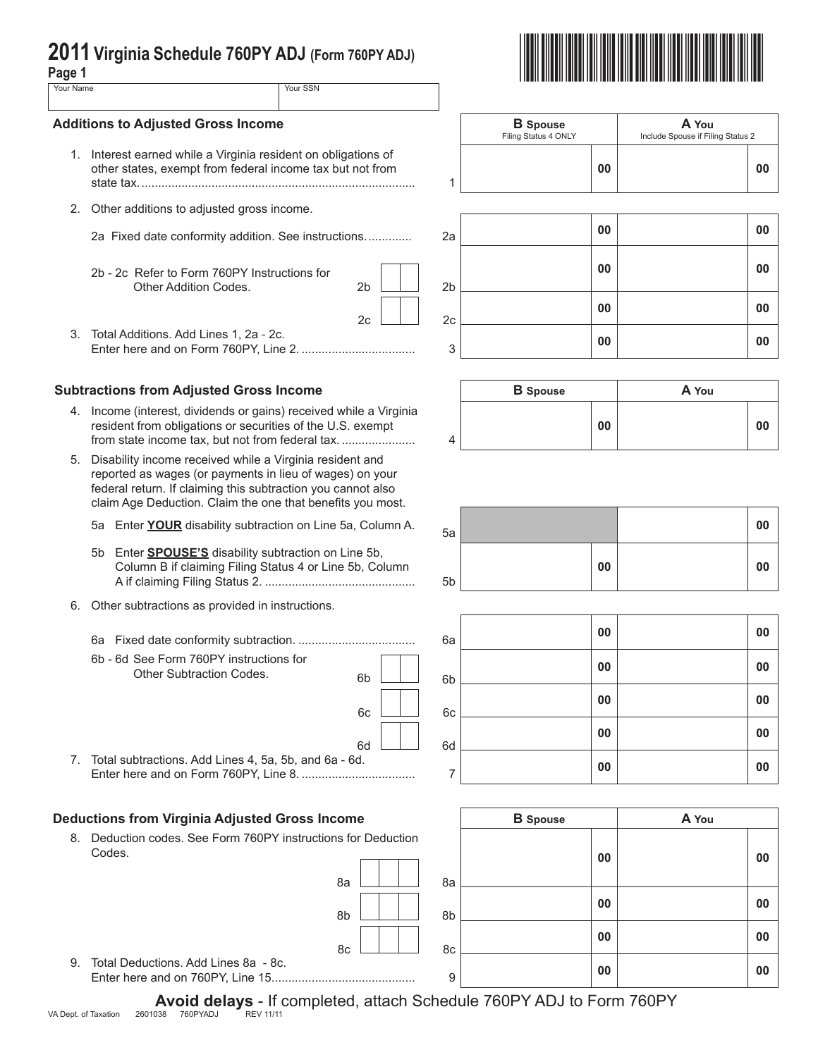# **2011 Virginia Schedule 760PY ADJ (Form 760PY ADJ) Page 1** \*VAPADJ111888\*

| ٠ |          |         |  |
|---|----------|---------|--|
|   | . .<br>× | ×<br>۰. |  |

| uyv i                 |  |
|-----------------------|--|
| Your SSN<br>Your Name |  |

## **Additions to Adjusted Gross Income**

- 1. Interest earned while a Virginia resident on obli other states, exempt from federal income tax but not from state tax................................................................................... 1
- 2. Other additions to adjusted gross income.
	-
	- 2b 2c Refer to Form 760PY Instructions for Other Addition Codes. 2b 2b 2b
- 3. Total Additions. Add Lines 1, 2a 2c.

# **Subtractions from Adjusted Gross Income**

- 4. Income (interest, dividends or gains) received while a Virginia resident from obligations or securities of the U.S. exempt from state income tax, but not from federal tax. ........................
- 5. Disability income received while a Virginia resident and reported as wages (or payments in lieu of wages) on your federal return. If claiming this subtraction you cannot also claim Age Deduction. Claim the one that benefits you most.
	- 5a Enter **YOUR** disability subtraction on Line 5a, Column A.
	- 5b Enter **SPOUSE'S** disability subtraction on Line 5b, Column B if claiming Filing Status 4 or Line 5b, Column A if claiming Filing Status 2. ............................................. 5b
- 6. Other subtractions as provided in instructions.
	- 6a Fixed date conformity subtraction. ................................... 6a **<sup>00</sup> <sup>00</sup>**
	- 6b 6d See Form 760PY instructions for Other Subtraction Codes.

| 6b       |  | 6b |
|----------|--|----|
| 6c       |  | 6c |
| 6d<br>d. |  | 6d |
|          |  |    |

 $\Box$ 

8a 8a

7. Total subtractions. Add Lines 4, 5a, 5b, and 6a - 6 Enter here and on Form 760PY, Line 8. .................................. <sup>7</sup> **<sup>00</sup> <sup>00</sup>**

# **Deductions from Virginia Adjusted Gross Income**

8. Deduction codes. See Form 760PY instructions for Deduction Codes.

|                           | <b>B</b> Spouse<br>Filing Status 4 ONLY | A You<br>Include Spouse if Filing Status 2 |
|---------------------------|-----------------------------------------|--------------------------------------------|
| gations of<br>ut not from | 00                                      | 00                                         |



|   | <b>B</b> Spouse |    | A You |    |
|---|-----------------|----|-------|----|
| 4 |                 | 00 |       | 00 |

| 5a |    | 00 |  |
|----|----|----|--|
| 5b | 00 | 00 |  |

| 6a | 00 | 00 |
|----|----|----|
| 6b | 00 | 00 |
| 6c | 00 | 00 |
| 6d | 00 | 00 |
| 7  | 00 | 00 |

| ome             | <b>B</b> Spouse | A You    |
|-----------------|-----------------|----------|
| s for Deduction |                 |          |
|                 |                 | 00<br>00 |
| 8a<br>8a        |                 |          |
| 8b<br>8b        |                 | 00<br>00 |
| 8c<br>8c        |                 | 00<br>00 |
| 9               |                 | 00<br>00 |

9. Total Deductions. Add Lines 8a - 8c. Enter here and on 760PY, Line 15........................................... <sup>9</sup> **<sup>00</sup> <sup>00</sup>**

**Avoid delays** - If completed, attach Schedule 760PY ADJ to Form 760PY<br>038 760PYADJ REV11/11